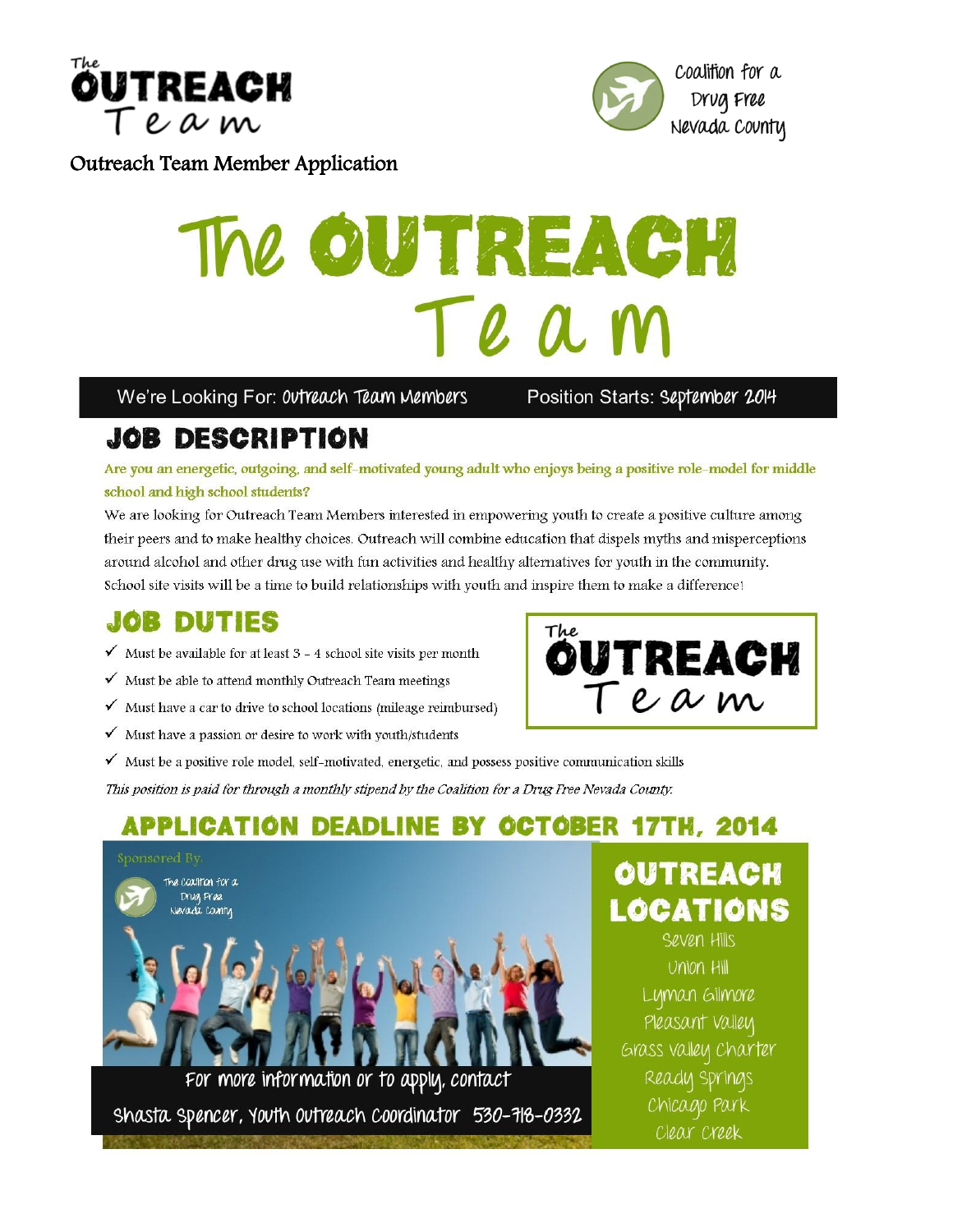



#### **Outreach Team Member Application**

# The OUTREACH Te a w

We're Looking For: 0vtreach Team Members

Position Starts: September 2014

# **JOB DESCRIPTION**

Are you an energetic, outgoing, and self-motivated young adult who enjoys being a positive role-model for middle school and high school students?

We are looking for Outreach Team Members interested in empowering youth to create a positive culture among their peers and to make healthy choices. Outreach will combine education that dispels myths and misperceptions around alcohol and other drug use with fun activities and healthy alternatives for youth in the community. School site visits will be a time to build relationships with youth and inspire them to make a difference!

The

# **JOB DUTIES**

- $\checkmark$  Must be available for at least 3 4 school site visits per month
- √ Must be able to attend monthly Outreach Team meetings
- $\checkmark$  Must have a car to drive to school locations (mileage reimbursed)
- $\checkmark$  Must have a passion or desire to work with youth/students
- √ Must be a positive role model, self-motivated, energetic, and possess positive communication skills

This position is paid for through a monthly stipend by the Coalition for a Drug Free Nevada County.

## **APPLICATION DEADLINE BY OCTOBER 17TH, 2014**



Shasta Spencer, Youth Outreach Coordinator 530-718-0332



OUTREACH

Team

LOCATIONS Seven Hills Union Hill Lyman Gilmore Pleasant Valley Grass valley Charter Ready Springs Chicago Park Clear Creek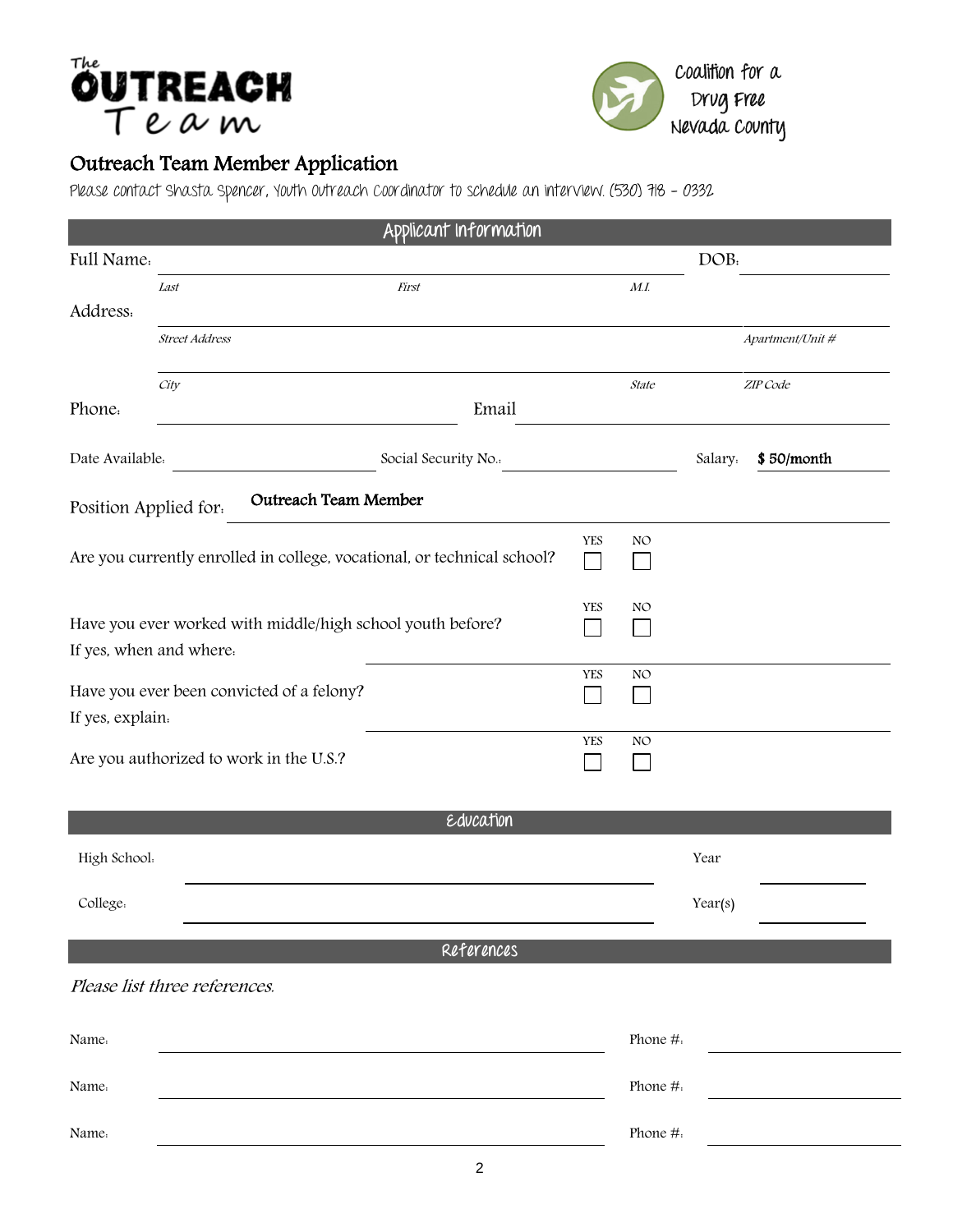# **ÖUTREACH**



### Outreach Team Member Application

Please contact Shasta Spencer, Youth Outreach Coordinator to schedule an interview. (530) 718 - 0332

| Applicant Information                                                                 |                                         |                    |                            |                     |          |                  |
|---------------------------------------------------------------------------------------|-----------------------------------------|--------------------|----------------------------|---------------------|----------|------------------|
| Full Name.                                                                            |                                         |                    |                            |                     | DOB:     |                  |
| Address.                                                                              | Last                                    | <b>First</b>       |                            | M.I                 |          |                  |
|                                                                                       | <b>Street Address</b>                   |                    |                            |                     |          | Apartment/Unit # |
| Phone.                                                                                | City<br>Email                           |                    |                            | State               | ZIP Code |                  |
| Date Available.                                                                       |                                         | Social Security No |                            |                     | Salary.  | \$50/month       |
| <b>Outreach Team Member</b><br>Position Applied for.                                  |                                         |                    |                            |                     |          |                  |
| Are you currently enrolled in college, vocational, or technical school?               |                                         |                    | <b>YES</b><br>$\mathsf{L}$ | NO                  |          |                  |
| Have you ever worked with middle/high school youth before?<br>If yes, when and where. |                                         |                    | <b>YES</b>                 | NO<br>$\mathcal{L}$ |          |                  |
| Have you ever been convicted of a felony?<br>If yes, explain.                         |                                         |                    | YES                        | NO<br>$\sim$        |          |                  |
|                                                                                       | Are you authorized to work in the U.S.? |                    | <b>YES</b>                 | NO                  |          |                  |
| Education                                                                             |                                         |                    |                            |                     |          |                  |
| High School.                                                                          |                                         |                    |                            |                     | Year     |                  |
| College.                                                                              |                                         |                    |                            |                     | Year(s)  |                  |
| References                                                                            |                                         |                    |                            |                     |          |                  |
|                                                                                       | Please list three references.           |                    |                            |                     |          |                  |
| Name.                                                                                 |                                         |                    |                            | Phone #.            |          |                  |
| Name.                                                                                 |                                         |                    |                            | Phone #.            |          |                  |
| Name.                                                                                 |                                         |                    |                            | Phone #.            |          |                  |